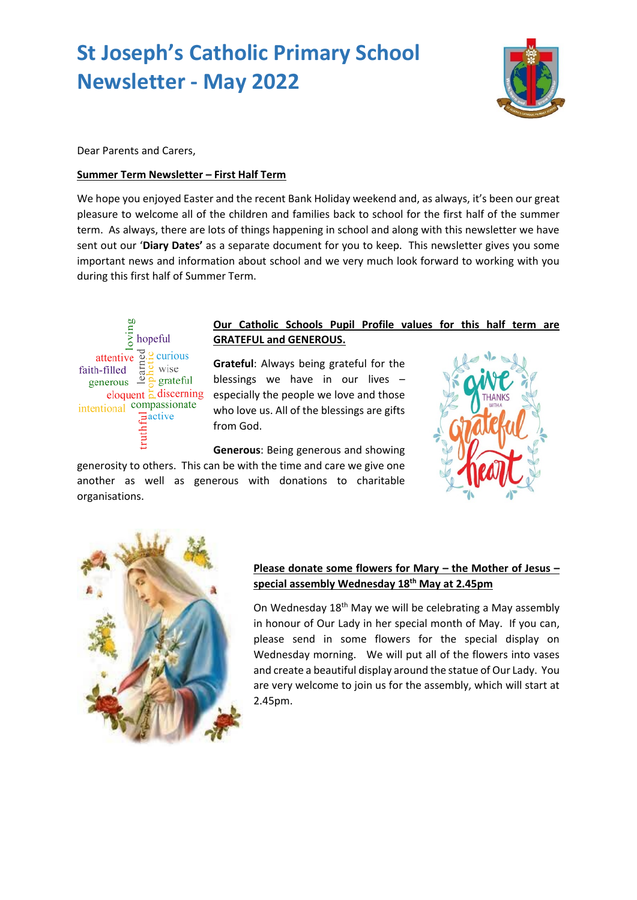# **St Joseph's Catholic Primary School Newsletter - May 2022**



Dear Parents and Carers,

#### **Summer Term Newsletter – First Half Term**

We hope you enjoyed Easter and the recent Bank Holiday weekend and, as always, it's been our great pleasure to welcome all of the children and families back to school for the first half of the summer term. As always, there are lots of things happening in school and along with this newsletter we have sent out our '**Diary Dates'** as a separate document for you to keep. This newsletter gives you some important news and information about school and we very much look forward to working with you during this first half of Summer Term.



## **Our Catholic Schools Pupil Profile values for this half term are GRATEFUL and GENEROUS.**

**Grateful**: Always being grateful for the blessings we have in our lives – especially the people we love and those who love us. All of the blessings are gifts from God.

**Generous**: Being generous and showing generosity to others. This can be with the time and care we give one another as well as generous with donations to charitable organisations.





## **Please donate some flowers for Mary – the Mother of Jesus – special assembly Wednesday 18th May at 2.45pm**

On Wednesday 18<sup>th</sup> May we will be celebrating a May assembly in honour of Our Lady in her special month of May. If you can, please send in some flowers for the special display on Wednesday morning. We will put all of the flowers into vases and create a beautiful display around the statue of Our Lady. You are very welcome to join us for the assembly, which will start at 2.45pm.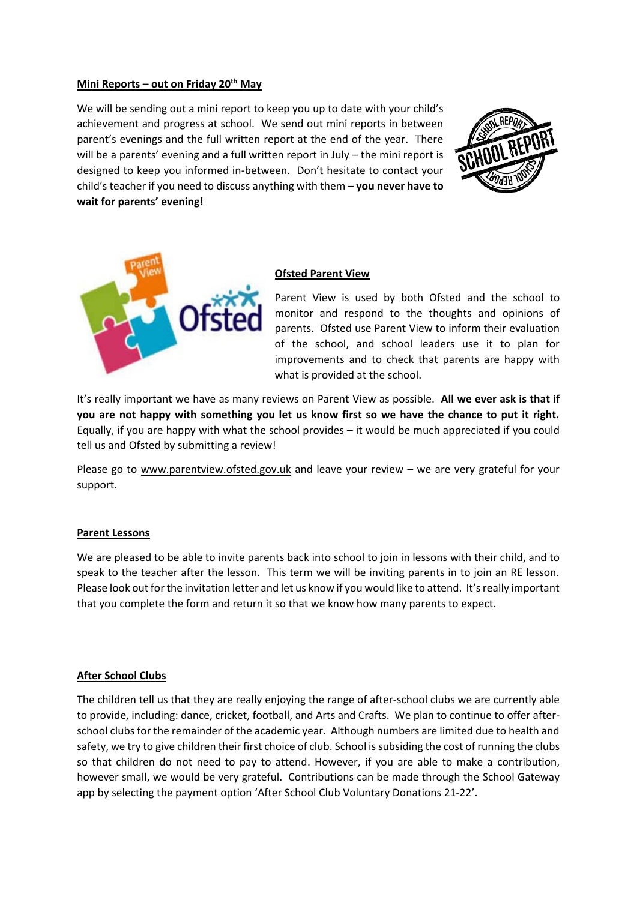#### **Mini Reports – out on Friday 20th May**

We will be sending out a mini report to keep you up to date with your child's achievement and progress at school. We send out mini reports in between parent's evenings and the full written report at the end of the year. There will be a parents' evening and a full written report in July – the mini report is designed to keep you informed in-between. Don't hesitate to contact your child's teacher if you need to discuss anything with them – **you never have to wait for parents' evening!**





#### **Ofsted Parent View**

Parent View is used by both Ofsted and the school to monitor and respond to the thoughts and opinions of parents. Ofsted use Parent View to inform their evaluation of the school, and school leaders use it to plan for improvements and to check that parents are happy with what is provided at the school.

It's really important we have as many reviews on Parent View as possible. **All we ever ask is that if you are not happy with something you let us know first so we have the chance to put it right.** Equally, if you are happy with what the school provides – it would be much appreciated if you could tell us and Ofsted by submitting a review!

Please go to [www.parentview.ofsted.gov.uk](http://www.parentview.ofsted.gov.uk/) and leave your review - we are very grateful for your support.

#### **Parent Lessons**

We are pleased to be able to invite parents back into school to join in lessons with their child, and to speak to the teacher after the lesson. This term we will be inviting parents in to join an RE lesson. Please look out for the invitation letter and let us know if you would like to attend. It's really important that you complete the form and return it so that we know how many parents to expect.

#### **After School Clubs**

The children tell us that they are really enjoying the range of after-school clubs we are currently able to provide, including: dance, cricket, football, and Arts and Crafts. We plan to continue to offer afterschool clubs for the remainder of the academic year. Although numbers are limited due to health and safety, we try to give children their first choice of club. School is subsiding the cost of running the clubs so that children do not need to pay to attend. However, if you are able to make a contribution, however small, we would be very grateful. Contributions can be made through the School Gateway app by selecting the payment option 'After School Club Voluntary Donations 21-22'.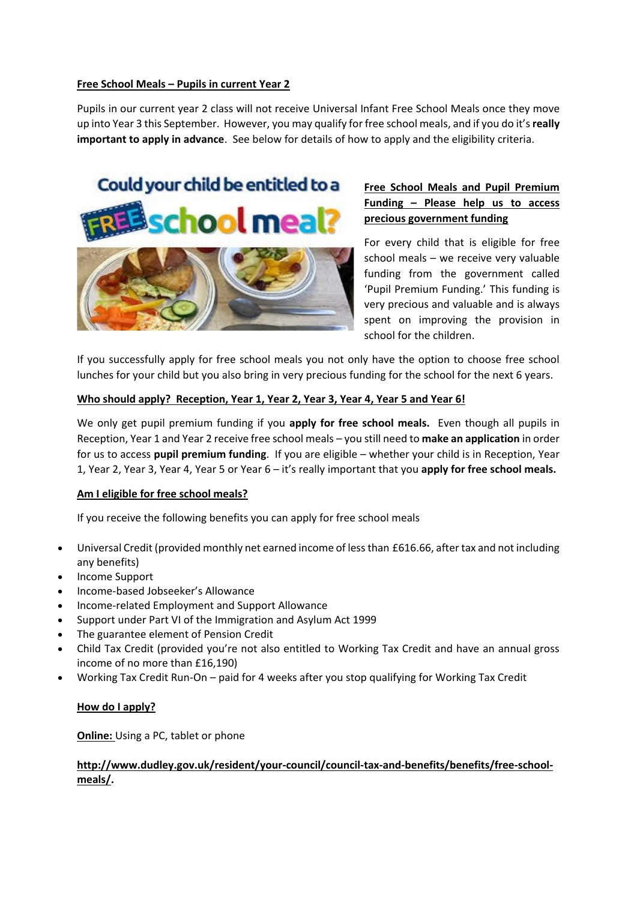#### **Free School Meals – Pupils in current Year 2**

Pupils in our current year 2 class will not receive Universal Infant Free School Meals once they move up into Year 3 this September. However, you may qualify for free school meals, and if you do it's **really important to apply in advance**. See below for details of how to apply and the eligibility criteria.

# Could your child be entitled to a school meal



## **Free School Meals and Pupil Premium Funding – Please help us to access precious government funding**

For every child that is eligible for free school meals – we receive very valuable funding from the government called 'Pupil Premium Funding.' This funding is very precious and valuable and is always spent on improving the provision in school for the children.

If you successfully apply for free school meals you not only have the option to choose free school lunches for your child but you also bring in very precious funding for the school for the next 6 years.

#### **Who should apply? Reception, Year 1, Year 2, Year 3, Year 4, Year 5 and Year 6!**

We only get pupil premium funding if you **apply for free school meals.** Even though all pupils in Reception, Year 1 and Year 2 receive free school meals – you still need to **make an application** in order for us to access **pupil premium funding**. If you are eligible – whether your child is in Reception, Year 1, Year 2, Year 3, Year 4, Year 5 or Year 6 – it's really important that you **apply for free school meals.**

#### **Am I eligible for free school meals?**

If you receive the following benefits you can apply for free school meals

- Universal Credit (provided monthly net earned income of less than £616.66, after tax and not including any benefits)
- Income Support
- Income-based Jobseeker's Allowance
- Income-related Employment and Support Allowance
- Support under Part VI of the Immigration and Asylum Act 1999
- The guarantee element of Pension Credit
- Child Tax Credit (provided you're not also entitled to Working Tax Credit and have an annual gross income of no more than £16,190)
- Working Tax Credit Run-On paid for 4 weeks after you stop qualifying for Working Tax Credit

#### **How do I apply?**

**Online:** Using a PC, tablet or phone

#### **[http://www.dudley.gov.uk/resident/your-council/council-tax-and-benefits/benefits/free-school](http://www.dudley.gov.uk/resident/your-council/council-tax-and-benefits/benefits/free-school-meals/)[meals/.](http://www.dudley.gov.uk/resident/your-council/council-tax-and-benefits/benefits/free-school-meals/)**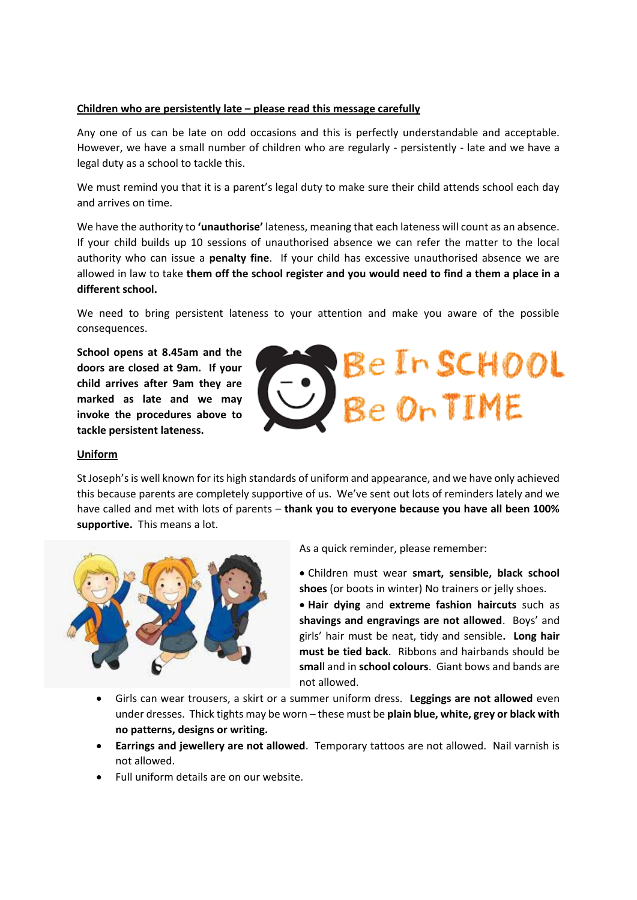#### **Children who are persistently late – please read this message carefully**

Any one of us can be late on odd occasions and this is perfectly understandable and acceptable. However, we have a small number of children who are regularly - persistently - late and we have a legal duty as a school to tackle this.

We must remind you that it is a parent's legal duty to make sure their child attends school each day and arrives on time.

We have the authority to **'unauthorise'** lateness, meaning that each lateness will count as an absence. If your child builds up 10 sessions of unauthorised absence we can refer the matter to the local authority who can issue a **penalty fine**. If your child has excessive unauthorised absence we are allowed in law to take **them off the school register and you would need to find a them a place in a different school.**

We need to bring persistent lateness to your attention and make you aware of the possible consequences.

**School opens at 8.45am and the doors are closed at 9am. If your child arrives after 9am they are marked as late and we may invoke the procedures above to tackle persistent lateness.**



#### **Uniform**

St Joseph's is well known for its high standards of uniform and appearance, and we have only achieved this because parents are completely supportive of us. We've sent out lots of reminders lately and we have called and met with lots of parents – **thank you to everyone because you have all been 100% supportive.** This means a lot.



As a quick reminder, please remember:

• Children must wear **smart, sensible, black school shoes** (or boots in winter) No trainers or jelly shoes.

• **Hair dying** and **extreme fashion haircuts** such as **shavings and engravings are not allowed**. Boys' and girls' hair must be neat, tidy and sensible**. Long hair must be tied back**. Ribbons and hairbands should be **smal**l and in **school colours**. Giant bows and bands are not allowed.

- Girls can wear trousers, a skirt or a summer uniform dress. **Leggings are not allowed** even under dresses. Thick tights may be worn – these must be **plain blue, white, grey or black with no patterns, designs or writing.**
- **Earrings and jewellery are not allowed**. Temporary tattoos are not allowed. Nail varnish is not allowed.
- Full uniform details are on our website.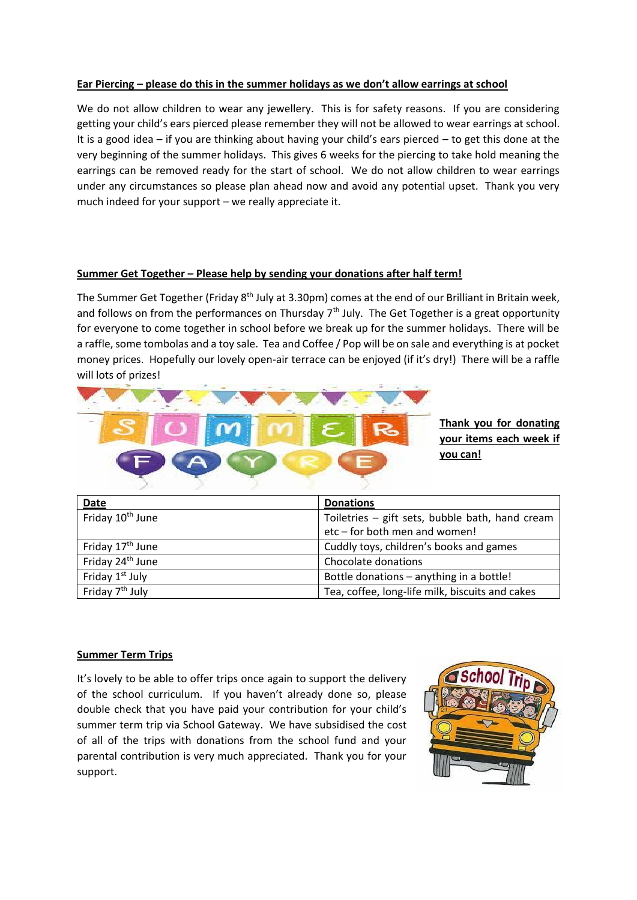#### **Ear Piercing – please do this in the summer holidays as we don't allow earrings at school**

We do not allow children to wear any jewellery. This is for safety reasons. If you are considering getting your child's ears pierced please remember they will not be allowed to wear earrings at school. It is a good idea – if you are thinking about having your child's ears pierced – to get this done at the very beginning of the summer holidays. This gives 6 weeks for the piercing to take hold meaning the earrings can be removed ready for the start of school. We do not allow children to wear earrings under any circumstances so please plan ahead now and avoid any potential upset. Thank you very much indeed for your support – we really appreciate it.

#### **Summer Get Together – Please help by sending your donations after half term!**

The Summer Get Together (Friday 8<sup>th</sup> July at 3.30pm) comes at the end of our Brilliant in Britain week, and follows on from the performances on Thursday  $7<sup>th</sup>$  July. The Get Together is a great opportunity for everyone to come together in school before we break up for the summer holidays. There will be a raffle, some tombolas and a toy sale. Tea and Coffee / Pop will be on sale and everything is at pocket money prices. Hopefully our lovely open-air terrace can be enjoyed (if it's dry!) There will be a raffle will lots of prizes!



**Thank you for donating your items each week if you can!**

| Date                         | <b>Donations</b>                                |
|------------------------------|-------------------------------------------------|
| Friday 10 <sup>th</sup> June | Toiletries - gift sets, bubble bath, hand cream |
|                              | etc-for both men and women!                     |
| Friday 17 <sup>th</sup> June | Cuddly toys, children's books and games         |
| Friday 24 <sup>th</sup> June | Chocolate donations                             |
| Friday 1 <sup>st</sup> July  | Bottle donations - anything in a bottle!        |
| Friday 7 <sup>th</sup> July  | Tea, coffee, long-life milk, biscuits and cakes |

#### **Summer Term Trips**

It's lovely to be able to offer trips once again to support the delivery of the school curriculum. If you haven't already done so, please double check that you have paid your contribution for your child's summer term trip via School Gateway. We have subsidised the cost of all of the trips with donations from the school fund and your parental contribution is very much appreciated. Thank you for your support.

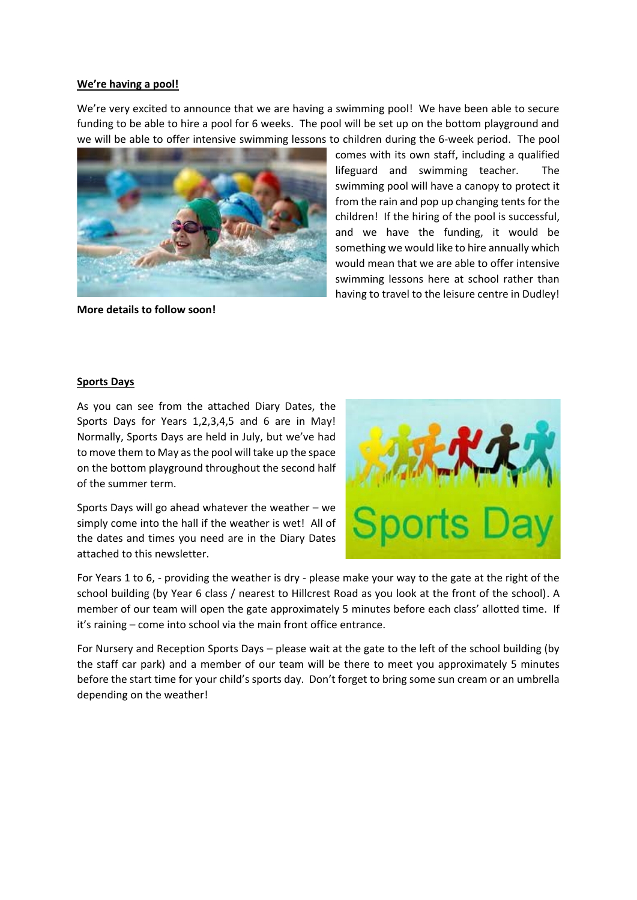#### **We're having a pool!**

We're very excited to announce that we are having a swimming pool! We have been able to secure funding to be able to hire a pool for 6 weeks. The pool will be set up on the bottom playground and we will be able to offer intensive swimming lessons to children during the 6-week period. The pool



**More details to follow soon!**

comes with its own staff, including a qualified lifeguard and swimming teacher. The swimming pool will have a canopy to protect it from the rain and pop up changing tents for the children! If the hiring of the pool is successful, and we have the funding, it would be something we would like to hire annually which would mean that we are able to offer intensive swimming lessons here at school rather than having to travel to the leisure centre in Dudley!

#### **Sports Days**

As you can see from the attached Diary Dates, the Sports Days for Years 1,2,3,4,5 and 6 are in May! Normally, Sports Days are held in July, but we've had to move them to May as the pool will take up the space on the bottom playground throughout the second half of the summer term.

Sports Days will go ahead whatever the weather – we simply come into the hall if the weather is wet! All of the dates and times you need are in the Diary Dates attached to this newsletter.



For Years 1 to 6, - providing the weather is dry - please make your way to the gate at the right of the school building (by Year 6 class / nearest to Hillcrest Road as you look at the front of the school). A member of our team will open the gate approximately 5 minutes before each class' allotted time. If it's raining – come into school via the main front office entrance.

For Nursery and Reception Sports Days – please wait at the gate to the left of the school building (by the staff car park) and a member of our team will be there to meet you approximately 5 minutes before the start time for your child's sports day. Don't forget to bring some sun cream or an umbrella depending on the weather!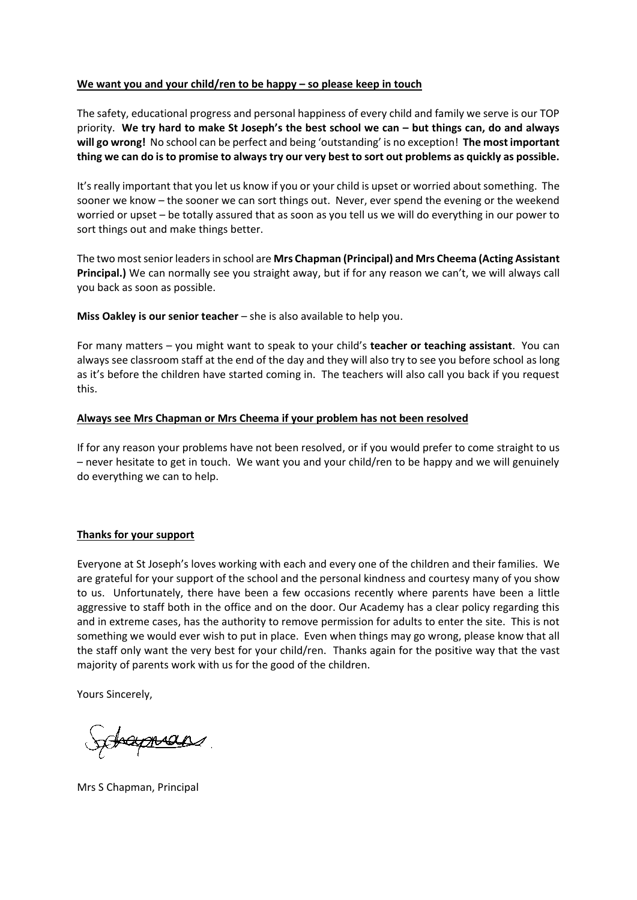#### **We want you and your child/ren to be happy – so please keep in touch**

The safety, educational progress and personal happiness of every child and family we serve is our TOP priority. **We try hard to make St Joseph's the best school we can – but things can, do and always will go wrong!** No school can be perfect and being 'outstanding' is no exception! **The most important thing we can do is to promise to always try our very best to sort out problems as quickly as possible.**

It's really important that you let us know if you or your child is upset or worried about something. The sooner we know – the sooner we can sort things out. Never, ever spend the evening or the weekend worried or upset – be totally assured that as soon as you tell us we will do everything in our power to sort things out and make things better.

The two most senior leaders in school are **Mrs Chapman (Principal) and Mrs Cheema (Acting Assistant Principal.)** We can normally see you straight away, but if for any reason we can't, we will always call you back as soon as possible.

**Miss Oakley is our senior teacher** – she is also available to help you.

For many matters – you might want to speak to your child's **teacher or teaching assistant**. You can always see classroom staff at the end of the day and they will also try to see you before school as long as it's before the children have started coming in. The teachers will also call you back if you request this.

#### **Always see Mrs Chapman or Mrs Cheema if your problem has not been resolved**

If for any reason your problems have not been resolved, or if you would prefer to come straight to us – never hesitate to get in touch. We want you and your child/ren to be happy and we will genuinely do everything we can to help.

#### **Thanks for your support**

Everyone at St Joseph's loves working with each and every one of the children and their families. We are grateful for your support of the school and the personal kindness and courtesy many of you show to us. Unfortunately, there have been a few occasions recently where parents have been a little aggressive to staff both in the office and on the door. Our Academy has a clear policy regarding this and in extreme cases, has the authority to remove permission for adults to enter the site. This is not something we would ever wish to put in place. Even when things may go wrong, please know that all the staff only want the very best for your child/ren. Thanks again for the positive way that the vast majority of parents work with us for the good of the children.

Yours Sincerely,

Schapman

Mrs S Chapman, Principal